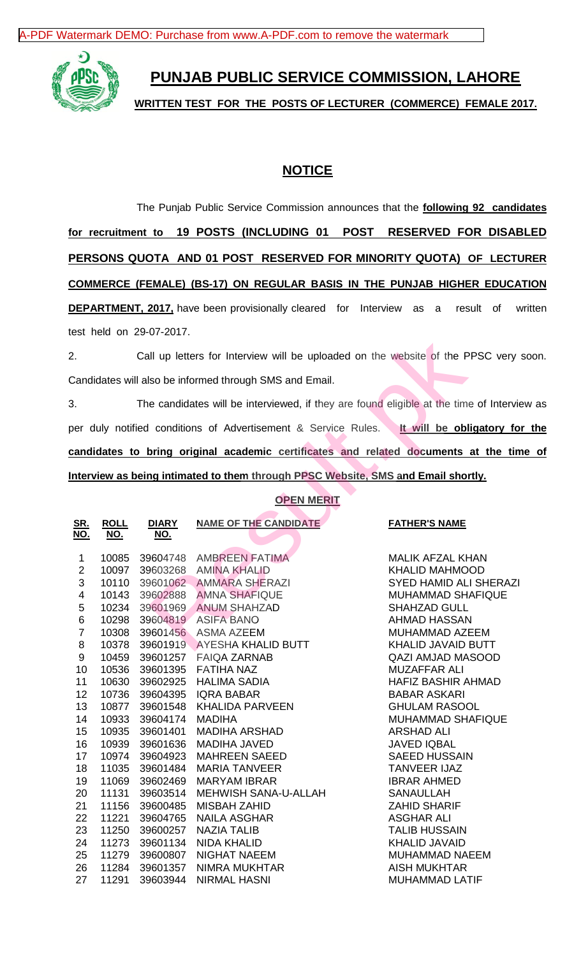[A-PDF Watermark DEMO: Purchase from www.A-PDF.com to remove the watermark](http://www.a-pdf.com/?wm-demo)



# **PUNJAB PUBLIC SERVICE COMMISSION, LAHORE**

**WRITTEN TEST FOR THE POSTS OF LECTURER (COMMERCE) FEMALE 2017.**

## **NOTICE**

The Punjab Public Service Commission announces that the **following 92 candidates for recruitment to 19 POSTS (INCLUDING 01 POST RESERVED FOR DISABLED PERSONS QUOTA AND 01 POST RESERVED FOR MINORITY QUOTA) OF LECTURER COMMERCE (FEMALE) (BS-17) ON REGULAR BASIS IN THE PUNJAB HIGHER EDUCATION DEPARTMENT, 2017,** have been provisionally cleared for Interview as a result of written test held on 29-07-2017.

2. Call up letters for Interview will be uploaded on the website of the PPSC very soon. Candidates will also be informed through SMS and Email.

3. The candidates will be interviewed, if they are found eligible at the time of Interview as per duly notified conditions of Advertisement & Service Rules. **It will be obligatory for the candidates to bring original academic certificates and related documents at the time of Interview as being intimated to them through PPSC Website, SMS and Email shortly.**

### **OPEN MERIT**

| Candidates will also be informed through SMS and Email.<br>The candidates will be interviewed, if they are found eligible at the time of Intervie<br>er duly notified conditions of Advertisement & Service Rules.<br>andidates to bring original academic certificates and related documents at the tim<br>nterview as being intimated to them through PPSC Website, SMS and Email shortly.<br><b>OPEN MERIT</b><br><b>DIARY</b><br><b>NAME OF THE CANDIDATE</b><br><b>ROLL</b><br><b>FATHER'S NAME</b><br><u>SR.</u><br><u>NO.</u><br><u>NO.</u><br><u>NO.</u><br>10085<br>39604748<br>AMBREEN FATIMA<br>MALIK AFZAL KHAN<br>1<br>$\overline{2}$<br>10097<br>39603268<br><b>AMINA KHALID</b><br><b>KHALID MAHMOOD</b><br>$\sqrt{3}$<br>10110<br>39601062<br>AMMARA SHERAZI<br>4<br>10143<br>39602888<br><b>AMNA SHAFIQUE</b><br>$\mathbf 5$<br><b>ANUM SHAHZAD</b><br>10234<br>39601969<br><b>SHAHZAD GULL</b><br>$\,6$<br><b>AHMAD HASSAN</b><br>10298<br>39604819<br><b>ASIFA BANO</b><br>$\overline{7}$<br>10308<br>39601456 ASMA AZEEM<br>MUHAMMAD AZEEM<br>8<br>10378<br>39601919<br><b>AYESHA KHALID BUTT</b><br>KHALID JAVAID BUTT<br>9<br>10459<br>39601257<br><b>FAIQA ZARNAB</b><br><b>QAZI AMJAD MASOOD</b><br>10<br>10536<br>39601395<br><b>MUZAFFAR ALI</b><br><b>FATIHA NAZ</b><br>11<br>10630<br>39602925<br><b>HALIMA SADIA</b><br><b>HAFIZ BASHIR AHMAD</b><br><b>IQRA BABAR</b><br>12<br>10736<br>39604395<br><b>BABAR ASKARI</b><br>13<br>10877<br>39601548<br><b>KHALIDA PARVEEN</b><br><b>GHULAM RASOOL</b><br>10933<br><b>MADIHA</b><br>14<br>39604174<br>15<br>10935<br>39601401<br><b>MADIHA ARSHAD</b><br><b>ARSHAD ALI</b><br>16<br>10939<br>39601636<br><b>MADIHA JAVED</b><br><b>JAVED IQBAL</b><br>17<br>10974<br>39604923<br><b>MAHREEN SAEED</b><br><b>SAEED HUSSAIN</b><br>11035<br>39601484<br><b>MARIA TANVEER</b><br><b>TANVEER IJAZ</b><br>18 | est held on 29-07-2017.                                                          |  |  |                                                                                       |  |
|-------------------------------------------------------------------------------------------------------------------------------------------------------------------------------------------------------------------------------------------------------------------------------------------------------------------------------------------------------------------------------------------------------------------------------------------------------------------------------------------------------------------------------------------------------------------------------------------------------------------------------------------------------------------------------------------------------------------------------------------------------------------------------------------------------------------------------------------------------------------------------------------------------------------------------------------------------------------------------------------------------------------------------------------------------------------------------------------------------------------------------------------------------------------------------------------------------------------------------------------------------------------------------------------------------------------------------------------------------------------------------------------------------------------------------------------------------------------------------------------------------------------------------------------------------------------------------------------------------------------------------------------------------------------------------------------------------------------------------------------------------------------------------------------------------------------------------------------------------------------------------------|----------------------------------------------------------------------------------|--|--|---------------------------------------------------------------------------------------|--|
|                                                                                                                                                                                                                                                                                                                                                                                                                                                                                                                                                                                                                                                                                                                                                                                                                                                                                                                                                                                                                                                                                                                                                                                                                                                                                                                                                                                                                                                                                                                                                                                                                                                                                                                                                                                                                                                                                     | Call up letters for Interview will be uploaded on the website of the PPSC very a |  |  |                                                                                       |  |
|                                                                                                                                                                                                                                                                                                                                                                                                                                                                                                                                                                                                                                                                                                                                                                                                                                                                                                                                                                                                                                                                                                                                                                                                                                                                                                                                                                                                                                                                                                                                                                                                                                                                                                                                                                                                                                                                                     |                                                                                  |  |  |                                                                                       |  |
|                                                                                                                                                                                                                                                                                                                                                                                                                                                                                                                                                                                                                                                                                                                                                                                                                                                                                                                                                                                                                                                                                                                                                                                                                                                                                                                                                                                                                                                                                                                                                                                                                                                                                                                                                                                                                                                                                     |                                                                                  |  |  |                                                                                       |  |
|                                                                                                                                                                                                                                                                                                                                                                                                                                                                                                                                                                                                                                                                                                                                                                                                                                                                                                                                                                                                                                                                                                                                                                                                                                                                                                                                                                                                                                                                                                                                                                                                                                                                                                                                                                                                                                                                                     |                                                                                  |  |  | It will be obligatory for                                                             |  |
|                                                                                                                                                                                                                                                                                                                                                                                                                                                                                                                                                                                                                                                                                                                                                                                                                                                                                                                                                                                                                                                                                                                                                                                                                                                                                                                                                                                                                                                                                                                                                                                                                                                                                                                                                                                                                                                                                     |                                                                                  |  |  |                                                                                       |  |
|                                                                                                                                                                                                                                                                                                                                                                                                                                                                                                                                                                                                                                                                                                                                                                                                                                                                                                                                                                                                                                                                                                                                                                                                                                                                                                                                                                                                                                                                                                                                                                                                                                                                                                                                                                                                                                                                                     |                                                                                  |  |  |                                                                                       |  |
|                                                                                                                                                                                                                                                                                                                                                                                                                                                                                                                                                                                                                                                                                                                                                                                                                                                                                                                                                                                                                                                                                                                                                                                                                                                                                                                                                                                                                                                                                                                                                                                                                                                                                                                                                                                                                                                                                     |                                                                                  |  |  |                                                                                       |  |
|                                                                                                                                                                                                                                                                                                                                                                                                                                                                                                                                                                                                                                                                                                                                                                                                                                                                                                                                                                                                                                                                                                                                                                                                                                                                                                                                                                                                                                                                                                                                                                                                                                                                                                                                                                                                                                                                                     |                                                                                  |  |  |                                                                                       |  |
| 11069<br>39602469<br>19<br><b>MARYAM IBRAR</b><br><b>IBRAR AHMED</b><br>11131<br>39603514<br>MEHWISH SANA-U-ALLAH<br><b>SANAULLAH</b><br>20<br>21<br>11156<br>39600485<br><b>MISBAH ZAHID</b><br><b>ZAHID SHARIF</b><br>22<br>11221<br>39604765<br><b>NAILA ASGHAR</b><br><b>ASGHAR ALI</b><br>23<br>11250<br>39600257<br><b>NAZIA TALIB</b><br><b>TALIB HUSSAIN</b>                                                                                                                                                                                                                                                                                                                                                                                                                                                                                                                                                                                                                                                                                                                                                                                                                                                                                                                                                                                                                                                                                                                                                                                                                                                                                                                                                                                                                                                                                                                |                                                                                  |  |  | <b>SYED HAMID ALI SHERAZI</b><br><b>MUHAMMAD SHAFIQUE</b><br><b>MUHAMMAD SHAFIQUE</b> |  |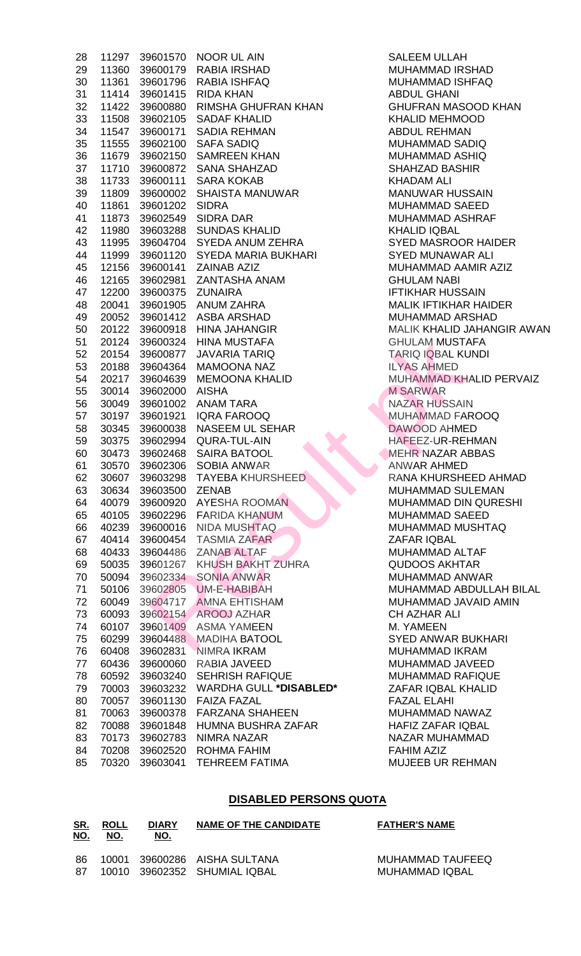| 28 | 11297 |                | 39601570 NOOR UL AIN            | <b>SALEEM ULLAH</b>   |
|----|-------|----------------|---------------------------------|-----------------------|
| 29 | 11360 | 39600179       | RABIA IRSHAD                    | <b>MUHAMMAD IRS</b>   |
| 30 | 11361 | 39601796       | <b>RABIA ISHFAQ</b>             | <b>MUHAMMAD ISH</b>   |
| 31 | 11414 | 39601415       | <b>RIDA KHAN</b>                | <b>ABDUL GHANI</b>    |
| 32 | 11422 | 39600880       | RIMSHA GHUFRAN KHAN             | <b>GHUFRAN MASO</b>   |
| 33 | 11508 | 39602105       | <b>SADAF KHALID</b>             | <b>KHALID MEHMO</b>   |
| 34 | 11547 | 39600171       | <b>SADIA REHMAN</b>             | <b>ABDUL REHMAN</b>   |
| 35 | 11555 | 39602100       | <b>SAFA SADIQ</b>               | <b>MUHAMMAD SAI</b>   |
| 36 | 11679 | 39602150       | <b>SAMREEN KHAN</b>             | <b>MUHAMMAD AS</b>    |
| 37 | 11710 | 39600872       | <b>SANA SHAHZAD</b>             | <b>SHAHZAD BASH</b>   |
| 38 | 11733 | 39600111       | <b>SARA KOKAB</b>               | <b>KHADAM ALI</b>     |
| 39 | 11809 | 39600002       | <b>SHAISTA MANUWAR</b>          | <b>MANUWAR HUS</b>    |
| 40 | 11861 | 39601202       | <b>SIDRA</b>                    | <b>MUHAMMAD SAI</b>   |
| 41 | 11873 | 39602549       | <b>SIDRA DAR</b>                | <b>MUHAMMAD ASI</b>   |
| 42 | 11980 | 39603288       | <b>SUNDAS KHALID</b>            | <b>KHALID IQBAL</b>   |
| 43 | 11995 | 39604704       | SYEDA ANUM ZEHRA                | <b>SYED MASROOR</b>   |
| 44 | 11999 |                | 39601120 SYEDA MARIA BUKHARI    | <b>SYED MUNAWAI</b>   |
|    |       | 39600141       | <b>ZAINAB AZIZ</b>              |                       |
| 45 | 12156 |                |                                 | <b>MUHAMMAD AAI</b>   |
| 46 | 12165 |                | 39602981 ZANTASHA ANAM          | <b>GHULAM NABI</b>    |
| 47 | 12200 | 39600375       | <b>ZUNAIRA</b>                  | <b>IFTIKHAR HUSS</b>  |
| 48 | 20041 | 39601905       | ANUM ZAHRA                      | <b>MALIK IFTIKHAR</b> |
| 49 | 20052 |                | 39601412 ASBA ARSHAD            | <b>MUHAMMAD AR</b>    |
| 50 | 20122 | 39600918       | <b>HINA JAHANGIR</b>            | <b>MALIK KHALID J</b> |
| 51 | 20124 | 39600324       | HINA MUSTAFA                    | <b>GHULAM MUSTA</b>   |
| 52 | 20154 | 39600877       | <b>JAVARIA TARIQ</b>            | <b>TARIQ IQBAL KL</b> |
| 53 | 20188 | 39604364       | MAMOONA NAZ                     | <b>ILYAS AHMED</b>    |
| 54 | 20217 | 39604639       | <b>MEMOONA KHALID</b>           | <b>MUHAMMAD KH</b>    |
| 55 | 30014 | 39602000       | <b>AISHA</b>                    | <b>M SARWAR</b>       |
| 56 | 30049 | 39601002       | ANAM TARA                       | <b>NAZAR HUSSAIN</b>  |
| 57 | 30197 | 39601921       | <b>IQRA FAROOQ</b>              | <b>MUHAMMAD FAI</b>   |
| 58 | 30345 | 39600038       | <b>NASEEM UL SEHAR</b>          | DAWOOD AHME           |
| 59 | 30375 | 39602994       | QURA-TUL-AIN                    | HAFEEZ-UR-REI         |
| 60 | 30473 |                | 39602468 SAIRA BATOOL           | <b>MEHR NAZAR AI</b>  |
| 61 | 30570 | 39602306       | <b>SOBIA ANWAR</b>              | <b>ANWAR AHMED</b>    |
| 62 |       | 30607 39603298 | <b>TAYEBA KHURSHEED</b>         | <b>RANA KHURSHE</b>   |
| 63 | 30634 | 39603500       | <b>ZENAB</b>                    | <b>MUHAMMAD SU</b>    |
| 64 | 40079 | 39600920       | <b>AYESHA ROOMAN</b>            | <b>MUHAMMAD DIN</b>   |
| 65 | 40105 | 39602296       | <b>FARIDA KHANUM</b>            | <b>MUHAMMAD SAI</b>   |
| 66 | 40239 | 39600016       | NIDA MUSHTAQ                    | <b>MUHAMMAD MU</b>    |
| 67 | 40414 |                | 39600454 TASMIA ZAFAR           | ZAFAR IQBAL           |
| 68 | 40433 |                | 39604486 ZANAB ALTAF            | MUHAMMAD AL           |
| 69 | 50035 |                | 39601267 KHUSH BAKHT ZUHRA      | <b>QUDOOS AKHT/</b>   |
| 70 | 50094 |                | 39602334 SONIA ANWAR            | MUHAMMAD AN'          |
| 71 | 50106 |                | 39602805 UM-E-HABIBAH           | <b>MUHAMMAD ABI</b>   |
| 72 | 60049 |                | 39604717 AMNA EHTISHAM          | <b>MUHAMMAD JAY</b>   |
| 73 | 60093 |                | 39602154 AROOJ AZHAR            | CH AZHAR ALI          |
| 74 | 60107 | 39601409       | <b>ASMA YAMEEN</b>              | M. YAMEEN             |
| 75 | 60299 | 39604488       | <b>MADIHA BATOOL</b>            | <b>SYED ANWAR B</b>   |
| 76 | 60408 | 39602831       | NIMRA IKRAM                     | MUHAMMAD IKR          |
| 77 | 60436 | 39600060       | RABIA JAVEED                    | <b>MUHAMMAD JAY</b>   |
|    |       |                | <b>SEHRISH RAFIQUE</b>          | <b>MUHAMMAD RA</b>    |
| 78 | 60592 | 39603240       |                                 |                       |
| 79 | 70003 | 39603232       | WARDHA GULL * <b>DISABLED</b> * | ZAFAR IQBAL KI        |
| 80 | 70057 | 39601130       | <b>FAIZA FAZAL</b>              | <b>FAZAL ELAHI</b>    |
| 81 | 70063 | 39600378       | <b>FARZANA SHAHEEN</b>          | <b>MUHAMMAD NA</b>    |
| 82 | 70088 | 39601848       | HUMNA BUSHRA ZAFAR              | HAFIZ ZAFAR IQ        |
| 83 | 70173 | 39602783       | <b>NIMRA NAZAR</b>              | <b>NAZAR MUHAMM</b>   |
| 84 | 70208 |                | 39602520 ROHMA FAHIM            | <b>FAHIM AZIZ</b>     |
| 85 | 70320 | 39603041       | <b>TEHREEM FATIMA</b>           | <b>MUJEEB UR REH</b>  |
|    |       |                |                                 |                       |

SALEEM ULLAH MUHAMMAD IRSHAD MUHAMMAD ISHFAQ ABDUL GHANI GHUFRAN MASOOD KHAN KHALID MEHMOOD ABDUL REHMAN MUHAMMAD SADIQ MUHAMMAD ASHIQ SHAHZAD BASHIR KHADAM ALI MANUWAR HUSSAIN MUHAMMAD SAEED MUHAMMAD ASHRAF KHALID IQBAL **SYED MASROOR HAIDER SYED MUNAWAR ALI** MUHAMMAD AAMIR AZIZ **GHULAM NABI IFTIKHAR HUSSAIN** MALIK IFTIKHAR HAIDER MUHAMMAD ARSHAD MALIK KHALID JAHANGIR AWAN **GHULAM MUSTAFA TARIQ IQBAL KUNDI ILYAS AHMED** MUHAMMAD KHALID PERVAIZ **M SARWAR** NAZAR HUSSAIN MUHAMMAD FAROOQ DAWOOD AHMED HAFEEZ-UR-REHMAN MEHR NAZAR ABBAS **ANWAR AHMED** RANA KHURSHEED AHMAD MUHAMMAD SULEMAN MUHAMMAD DIN QURESHI MUHAMMAD SAEED MUHAMMAD MUSHTAQ ZAFAR IQBAL MUHAMMAD ALTAF QUDOOS AKHTAR MUHAMMAD ANWAR MUHAMMAD ABDULLAH BILAL MUHAMMAD JAVAID AMIN CH AZHAR ALI M. YAMEEN **SYED ANWAR BUKHARI** MUHAMMAD IKRAM MUHAMMAD JAVEED MUHAMMAD RAFIQUE 79 70003 39603232 WARDHA GULL **\*DISABLED\*** ZAFAR IQBAL KHALID FAZAL ELAHI MUHAMMAD NAWAZ HAFIZ ZAFAR IQBAL NAZAR MUHAMMAD **FAHIM AZIZ** MUJEEB UR REHMAN

#### **DISABLED PERSONS QUOTA**

| <u>SR.</u><br><u>NO.</u> | <b>ROLL</b><br>NO. | <b>DIARY</b><br>NO. | NAME OF THE CANDIDATE                                        | <b>FATHER'S NAME</b>               |
|--------------------------|--------------------|---------------------|--------------------------------------------------------------|------------------------------------|
| -86<br>87.               |                    |                     | 10001 39600286 AISHA SULTANA<br>10010 39602352 SHUMIAL IQBAL | MUHAMMAD TAUFEEQ<br>MUHAMMAD IQBAL |